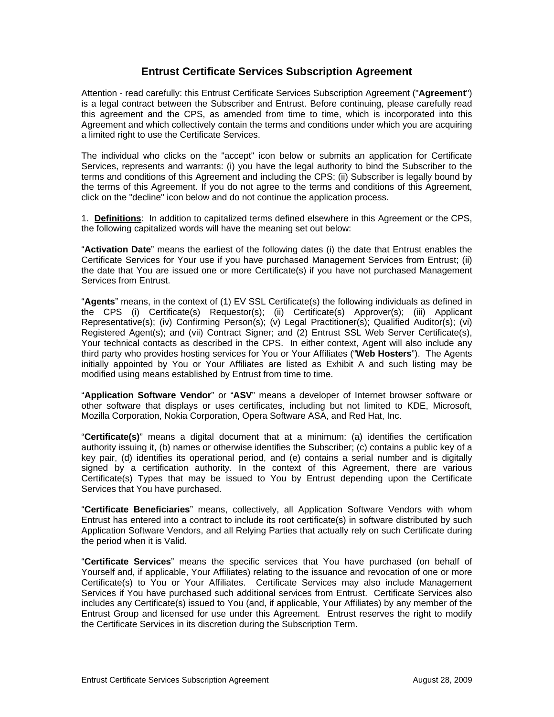# **Entrust Certificate Services Subscription Agreement**

Attention - read carefully: this Entrust Certificate Services Subscription Agreement ("**Agreement**") is a legal contract between the Subscriber and Entrust. Before continuing, please carefully read this agreement and the CPS, as amended from time to time, which is incorporated into this Agreement and which collectively contain the terms and conditions under which you are acquiring a limited right to use the Certificate Services.

The individual who clicks on the "accept" icon below or submits an application for Certificate Services, represents and warrants: (i) you have the legal authority to bind the Subscriber to the terms and conditions of this Agreement and including the CPS; (ii) Subscriber is legally bound by the terms of this Agreement. If you do not agree to the terms and conditions of this Agreement, click on the "decline" icon below and do not continue the application process.

1. **Definitions**: In addition to capitalized terms defined elsewhere in this Agreement or the CPS, the following capitalized words will have the meaning set out below:

"**Activation Date**" means the earliest of the following dates (i) the date that Entrust enables the Certificate Services for Your use if you have purchased Management Services from Entrust; (ii) the date that You are issued one or more Certificate(s) if you have not purchased Management Services from Entrust.

"**Agents**" means, in the context of (1) EV SSL Certificate(s) the following individuals as defined in the CPS (i) Certificate(s) Requestor(s); (ii) Certificate(s) Approver(s); (iii) Applicant Representative(s); (iv) Confirming Person(s); (v) Legal Practitioner(s); Qualified Auditor(s); (vi) Registered Agent(s); and (vii) Contract Signer; and (2) Entrust SSL Web Server Certificate(s), Your technical contacts as described in the CPS. In either context, Agent will also include any third party who provides hosting services for You or Your Affiliates ("**Web Hosters**"). The Agents initially appointed by You or Your Affiliates are listed as Exhibit A and such listing may be modified using means established by Entrust from time to time.

"**Application Software Vendor**" or "**ASV**" means a developer of Internet browser software or other software that displays or uses certificates, including but not limited to KDE, Microsoft, Mozilla Corporation, Nokia Corporation, Opera Software ASA, and Red Hat, Inc.

"**Certificate(s)**" means a digital document that at a minimum: (a) identifies the certification authority issuing it, (b) names or otherwise identifies the Subscriber; (c) contains a public key of a key pair, (d) identifies its operational period, and (e) contains a serial number and is digitally signed by a certification authority. In the context of this Agreement, there are various Certificate(s) Types that may be issued to You by Entrust depending upon the Certificate Services that You have purchased.

"**Certificate Beneficiaries**" means, collectively, all Application Software Vendors with whom Entrust has entered into a contract to include its root certificate(s) in software distributed by such Application Software Vendors, and all Relying Parties that actually rely on such Certificate during the period when it is Valid.

"**Certificate Services**" means the specific services that You have purchased (on behalf of Yourself and, if applicable, Your Affiliates) relating to the issuance and revocation of one or more Certificate(s) to You or Your Affiliates. Certificate Services may also include Management Services if You have purchased such additional services from Entrust. Certificate Services also includes any Certificate(s) issued to You (and, if applicable, Your Affiliates) by any member of the Entrust Group and licensed for use under this Agreement. Entrust reserves the right to modify the Certificate Services in its discretion during the Subscription Term.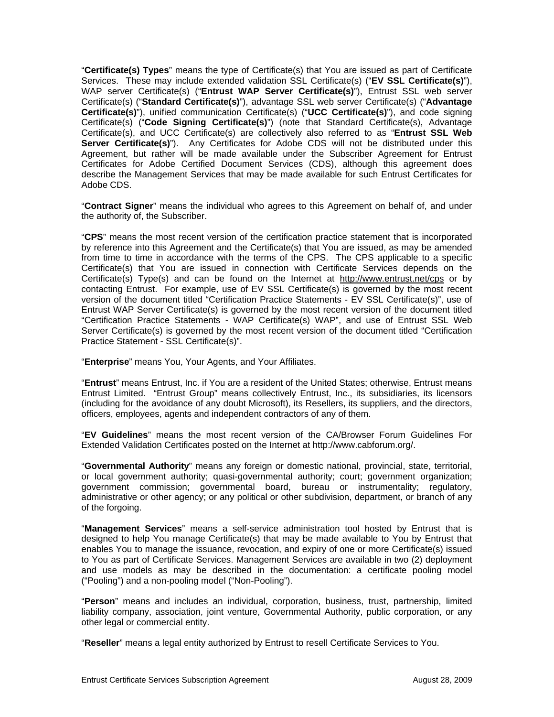"**Certificate(s) Types**" means the type of Certificate(s) that You are issued as part of Certificate Services. These may include extended validation SSL Certificate(s) ("**EV SSL Certificate(s)**"), WAP server Certificate(s) ("**Entrust WAP Server Certificate(s)**"), Entrust SSL web server Certificate(s) ("**Standard Certificate(s)**"), advantage SSL web server Certificate(s) ("**Advantage Certificate(s)**"), unified communication Certificate(s) ("**UCC Certificate(s)**"), and code signing Certificate(s) ("**Code Signing Certificate(s)**") (note that Standard Certificate(s), Advantage Certificate(s), and UCC Certificate(s) are collectively also referred to as "**Entrust SSL Web Server Certificate(s)**"). Any Certificates for Adobe CDS will not be distributed under this Agreement, but rather will be made available under the Subscriber Agreement for Entrust Certificates for Adobe Certified Document Services (CDS), although this agreement does describe the Management Services that may be made available for such Entrust Certificates for Adobe CDS.

"**Contract Signer**" means the individual who agrees to this Agreement on behalf of, and under the authority of, the Subscriber.

"**CPS**" means the most recent version of the certification practice statement that is incorporated by reference into this Agreement and the Certificate(s) that You are issued, as may be amended from time to time in accordance with the terms of the CPS. The CPS applicable to a specific Certificate(s) that You are issued in connection with Certificate Services depends on the Certificate(s) Type(s) and can be found on the Internet at http://www.entrust.net/cps or by contacting Entrust. For example, use of EV SSL Certificate(s) is governed by the most recent version of the document titled "Certification Practice Statements - EV SSL Certificate(s)", use of Entrust WAP Server Certificate(s) is governed by the most recent version of the document titled "Certification Practice Statements - WAP Certificate(s) WAP", and use of Entrust SSL Web Server Certificate(s) is governed by the most recent version of the document titled "Certification Practice Statement - SSL Certificate(s)".

"**Enterprise**" means You, Your Agents, and Your Affiliates.

"**Entrust**" means Entrust, Inc. if You are a resident of the United States; otherwise, Entrust means Entrust Limited. "Entrust Group" means collectively Entrust, Inc., its subsidiaries, its licensors (including for the avoidance of any doubt Microsoft), its Resellers, its suppliers, and the directors, officers, employees, agents and independent contractors of any of them.

"**EV Guidelines**" means the most recent version of the CA/Browser Forum Guidelines For Extended Validation Certificates posted on the Internet at http://www.cabforum.org/.

"**Governmental Authority**" means any foreign or domestic national, provincial, state, territorial, or local government authority; quasi-governmental authority; court; government organization; government commission; governmental board, bureau or instrumentality; regulatory, administrative or other agency; or any political or other subdivision, department, or branch of any of the forgoing.

"**Management Services**" means a self-service administration tool hosted by Entrust that is designed to help You manage Certificate(s) that may be made available to You by Entrust that enables You to manage the issuance, revocation, and expiry of one or more Certificate(s) issued to You as part of Certificate Services. Management Services are available in two (2) deployment and use models as may be described in the documentation: a certificate pooling model ("Pooling") and a non-pooling model ("Non-Pooling").

"**Person**" means and includes an individual, corporation, business, trust, partnership, limited liability company, association, joint venture, Governmental Authority, public corporation, or any other legal or commercial entity.

"**Reseller**" means a legal entity authorized by Entrust to resell Certificate Services to You.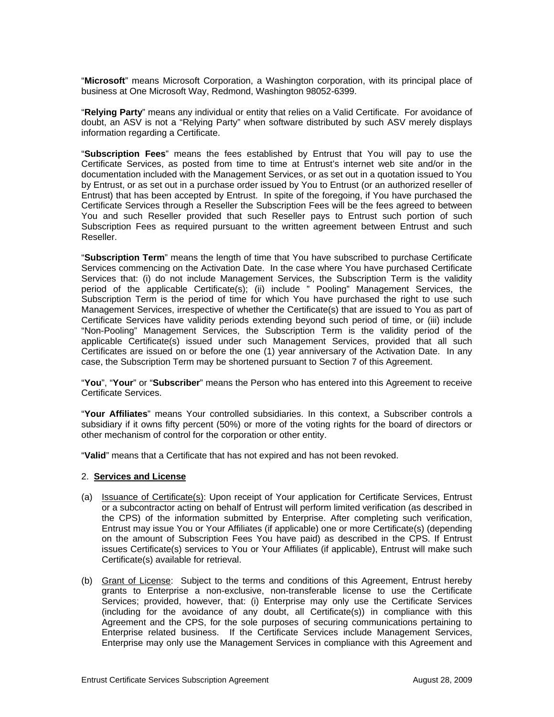"**Microsoft**" means Microsoft Corporation, a Washington corporation, with its principal place of business at One Microsoft Way, Redmond, Washington 98052-6399.

"**Relying Party**" means any individual or entity that relies on a Valid Certificate. For avoidance of doubt, an ASV is not a "Relying Party" when software distributed by such ASV merely displays information regarding a Certificate.

"**Subscription Fees**" means the fees established by Entrust that You will pay to use the Certificate Services, as posted from time to time at Entrust's internet web site and/or in the documentation included with the Management Services, or as set out in a quotation issued to You by Entrust, or as set out in a purchase order issued by You to Entrust (or an authorized reseller of Entrust) that has been accepted by Entrust. In spite of the foregoing, if You have purchased the Certificate Services through a Reseller the Subscription Fees will be the fees agreed to between You and such Reseller provided that such Reseller pays to Entrust such portion of such Subscription Fees as required pursuant to the written agreement between Entrust and such Reseller.

"**Subscription Term**" means the length of time that You have subscribed to purchase Certificate Services commencing on the Activation Date. In the case where You have purchased Certificate Services that: (i) do not include Management Services, the Subscription Term is the validity period of the applicable Certificate(s); (ii) include " Pooling" Management Services, the Subscription Term is the period of time for which You have purchased the right to use such Management Services, irrespective of whether the Certificate(s) that are issued to You as part of Certificate Services have validity periods extending beyond such period of time, or (iii) include "Non-Pooling" Management Services, the Subscription Term is the validity period of the applicable Certificate(s) issued under such Management Services, provided that all such Certificates are issued on or before the one (1) year anniversary of the Activation Date. In any case, the Subscription Term may be shortened pursuant to Section 7 of this Agreement.

"**You**", "**Your**" or "**Subscriber**" means the Person who has entered into this Agreement to receive Certificate Services.

"**Your Affiliates**" means Your controlled subsidiaries. In this context, a Subscriber controls a subsidiary if it owns fifty percent (50%) or more of the voting rights for the board of directors or other mechanism of control for the corporation or other entity.

"**Valid**" means that a Certificate that has not expired and has not been revoked.

#### 2. **Services and License**

- (a) Issuance of Certificate(s): Upon receipt of Your application for Certificate Services, Entrust or a subcontractor acting on behalf of Entrust will perform limited verification (as described in the CPS) of the information submitted by Enterprise. After completing such verification, Entrust may issue You or Your Affiliates (if applicable) one or more Certificate(s) (depending on the amount of Subscription Fees You have paid) as described in the CPS. If Entrust issues Certificate(s) services to You or Your Affiliates (if applicable), Entrust will make such Certificate(s) available for retrieval.
- (b) Grant of License: Subject to the terms and conditions of this Agreement, Entrust hereby grants to Enterprise a non-exclusive, non-transferable license to use the Certificate Services; provided, however, that: (i) Enterprise may only use the Certificate Services (including for the avoidance of any doubt, all Certificate(s)) in compliance with this Agreement and the CPS, for the sole purposes of securing communications pertaining to Enterprise related business. If the Certificate Services include Management Services, Enterprise may only use the Management Services in compliance with this Agreement and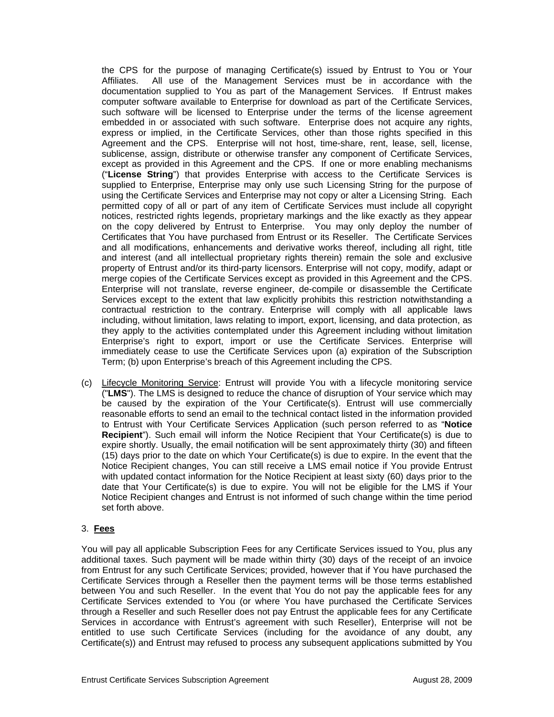the CPS for the purpose of managing Certificate(s) issued by Entrust to You or Your Affiliates. All use of the Management Services must be in accordance with the documentation supplied to You as part of the Management Services. If Entrust makes computer software available to Enterprise for download as part of the Certificate Services, such software will be licensed to Enterprise under the terms of the license agreement embedded in or associated with such software. Enterprise does not acquire any rights, express or implied, in the Certificate Services, other than those rights specified in this Agreement and the CPS. Enterprise will not host, time-share, rent, lease, sell, license, sublicense, assign, distribute or otherwise transfer any component of Certificate Services, except as provided in this Agreement and the CPS. If one or more enabling mechanisms ("**License String**") that provides Enterprise with access to the Certificate Services is supplied to Enterprise, Enterprise may only use such Licensing String for the purpose of using the Certificate Services and Enterprise may not copy or alter a Licensing String. Each permitted copy of all or part of any item of Certificate Services must include all copyright notices, restricted rights legends, proprietary markings and the like exactly as they appear on the copy delivered by Entrust to Enterprise. You may only deploy the number of Certificates that You have purchased from Entrust or its Reseller. The Certificate Services and all modifications, enhancements and derivative works thereof, including all right, title and interest (and all intellectual proprietary rights therein) remain the sole and exclusive property of Entrust and/or its third-party licensors. Enterprise will not copy, modify, adapt or merge copies of the Certificate Services except as provided in this Agreement and the CPS. Enterprise will not translate, reverse engineer, de-compile or disassemble the Certificate Services except to the extent that law explicitly prohibits this restriction notwithstanding a contractual restriction to the contrary. Enterprise will comply with all applicable laws including, without limitation, laws relating to import, export, licensing, and data protection, as they apply to the activities contemplated under this Agreement including without limitation Enterprise's right to export, import or use the Certificate Services. Enterprise will immediately cease to use the Certificate Services upon (a) expiration of the Subscription Term; (b) upon Enterprise's breach of this Agreement including the CPS.

(c) Lifecycle Monitoring Service: Entrust will provide You with a lifecycle monitoring service ("**LMS**"). The LMS is designed to reduce the chance of disruption of Your service which may be caused by the expiration of the Your Certificate(s). Entrust will use commercially reasonable efforts to send an email to the technical contact listed in the information provided to Entrust with Your Certificate Services Application (such person referred to as "**Notice Recipient**"). Such email will inform the Notice Recipient that Your Certificate(s) is due to expire shortly. Usually, the email notification will be sent approximately thirty (30) and fifteen (15) days prior to the date on which Your Certificate(s) is due to expire. In the event that the Notice Recipient changes, You can still receive a LMS email notice if You provide Entrust with updated contact information for the Notice Recipient at least sixty (60) days prior to the date that Your Certificate(s) is due to expire. You will not be eligible for the LMS if Your Notice Recipient changes and Entrust is not informed of such change within the time period set forth above.

# 3. **Fees**

You will pay all applicable Subscription Fees for any Certificate Services issued to You, plus any additional taxes. Such payment will be made within thirty (30) days of the receipt of an invoice from Entrust for any such Certificate Services; provided, however that if You have purchased the Certificate Services through a Reseller then the payment terms will be those terms established between You and such Reseller. In the event that You do not pay the applicable fees for any Certificate Services extended to You (or where You have purchased the Certificate Services through a Reseller and such Reseller does not pay Entrust the applicable fees for any Certificate Services in accordance with Entrust's agreement with such Reseller), Enterprise will not be entitled to use such Certificate Services (including for the avoidance of any doubt, any Certificate(s)) and Entrust may refused to process any subsequent applications submitted by You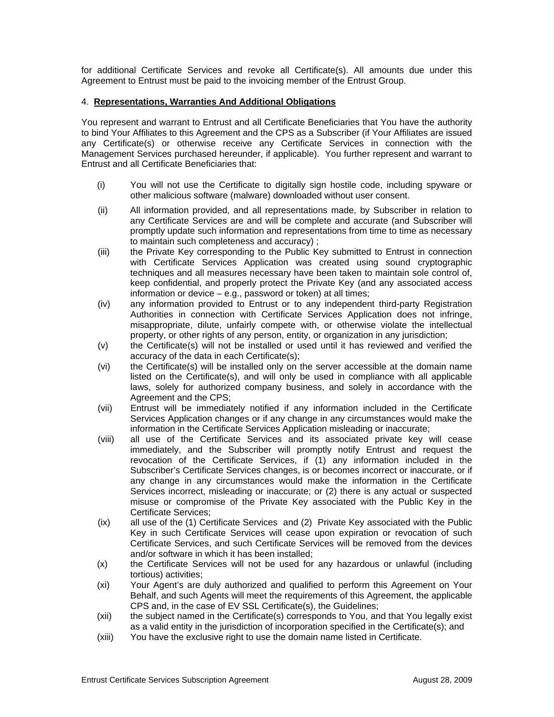for additional Certificate Services and revoke all Certificate(s). All amounts due under this Agreement to Entrust must be paid to the invoicing member of the Entrust Group.

### 4. **Representations, Warranties And Additional Obligations**

You represent and warrant to Entrust and all Certificate Beneficiaries that You have the authority to bind Your Affiliates to this Agreement and the CPS as a Subscriber (if Your Affiliates are issued any Certificate(s) or otherwise receive any Certificate Services in connection with the Management Services purchased hereunder, if applicable). You further represent and warrant to Entrust and all Certificate Beneficiaries that:

- (i) You will not use the Certificate to digitally sign hostile code, including spyware or other malicious software (malware) downloaded without user consent.
- (ii) All information provided, and all representations made, by Subscriber in relation to any Certificate Services are and will be complete and accurate (and Subscriber will promptly update such information and representations from time to time as necessary to maintain such completeness and accuracy) ;
- (iii) the Private Key corresponding to the Public Key submitted to Entrust in connection with Certificate Services Application was created using sound cryptographic techniques and all measures necessary have been taken to maintain sole control of, keep confidential, and properly protect the Private Key (and any associated access information or device – e.g., password or token) at all times;
- (iv) any information provided to Entrust or to any independent third-party Registration Authorities in connection with Certificate Services Application does not infringe, misappropriate, dilute, unfairly compete with, or otherwise violate the intellectual property, or other rights of any person, entity, or organization in any jurisdiction;
- (v) the Certificate(s) will not be installed or used until it has reviewed and verified the accuracy of the data in each Certificate(s);
- (vi) the Certificate(s) will be installed only on the server accessible at the domain name listed on the Certificate(s), and will only be used in compliance with all applicable laws, solely for authorized company business, and solely in accordance with the Agreement and the CPS;
- (vii) Entrust will be immediately notified if any information included in the Certificate Services Application changes or if any change in any circumstances would make the information in the Certificate Services Application misleading or inaccurate;
- (viii) all use of the Certificate Services and its associated private key will cease immediately, and the Subscriber will promptly notify Entrust and request the revocation of the Certificate Services, if (1) any information included in the Subscriber's Certificate Services changes, is or becomes incorrect or inaccurate, or if any change in any circumstances would make the information in the Certificate Services incorrect, misleading or inaccurate; or (2) there is any actual or suspected misuse or compromise of the Private Key associated with the Public Key in the Certificate Services;
- (ix) all use of the (1) Certificate Services and (2) Private Key associated with the Public Key in such Certificate Services will cease upon expiration or revocation of such Certificate Services, and such Certificate Services will be removed from the devices and/or software in which it has been installed;
- (x) the Certificate Services will not be used for any hazardous or unlawful (including tortious) activities;
- (xi) Your Agent's are duly authorized and qualified to perform this Agreement on Your Behalf, and such Agents will meet the requirements of this Agreement, the applicable CPS and, in the case of EV SSL Certificate(s), the Guidelines;
- (xii) the subject named in the Certificate(s) corresponds to You, and that You legally exist as a valid entity in the jurisdiction of incorporation specified in the Certificate(s); and
- (xiii) You have the exclusive right to use the domain name listed in Certificate.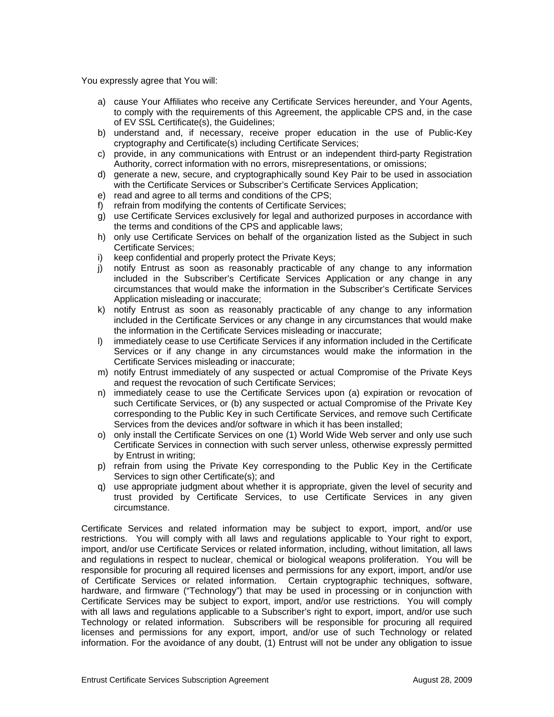You expressly agree that You will:

- a) cause Your Affiliates who receive any Certificate Services hereunder, and Your Agents, to comply with the requirements of this Agreement, the applicable CPS and, in the case of EV SSL Certificate(s), the Guidelines;
- b) understand and, if necessary, receive proper education in the use of Public-Key cryptography and Certificate(s) including Certificate Services;
- c) provide, in any communications with Entrust or an independent third-party Registration Authority, correct information with no errors, misrepresentations, or omissions;
- d) generate a new, secure, and cryptographically sound Key Pair to be used in association with the Certificate Services or Subscriber's Certificate Services Application;
- e) read and agree to all terms and conditions of the CPS;
- f) refrain from modifying the contents of Certificate Services;
- g) use Certificate Services exclusively for legal and authorized purposes in accordance with the terms and conditions of the CPS and applicable laws;
- h) only use Certificate Services on behalf of the organization listed as the Subject in such Certificate Services;
- i) keep confidential and properly protect the Private Keys;
- j) notify Entrust as soon as reasonably practicable of any change to any information included in the Subscriber's Certificate Services Application or any change in any circumstances that would make the information in the Subscriber's Certificate Services Application misleading or inaccurate;
- k) notify Entrust as soon as reasonably practicable of any change to any information included in the Certificate Services or any change in any circumstances that would make the information in the Certificate Services misleading or inaccurate;
- l) immediately cease to use Certificate Services if any information included in the Certificate Services or if any change in any circumstances would make the information in the Certificate Services misleading or inaccurate;
- m) notify Entrust immediately of any suspected or actual Compromise of the Private Keys and request the revocation of such Certificate Services;
- n) immediately cease to use the Certificate Services upon (a) expiration or revocation of such Certificate Services, or (b) any suspected or actual Compromise of the Private Key corresponding to the Public Key in such Certificate Services, and remove such Certificate Services from the devices and/or software in which it has been installed;
- o) only install the Certificate Services on one (1) World Wide Web server and only use such Certificate Services in connection with such server unless, otherwise expressly permitted by Entrust in writing;
- p) refrain from using the Private Key corresponding to the Public Key in the Certificate Services to sign other Certificate(s); and
- q) use appropriate judgment about whether it is appropriate, given the level of security and trust provided by Certificate Services, to use Certificate Services in any given circumstance.

Certificate Services and related information may be subject to export, import, and/or use restrictions. You will comply with all laws and regulations applicable to Your right to export, import, and/or use Certificate Services or related information, including, without limitation, all laws and regulations in respect to nuclear, chemical or biological weapons proliferation. You will be responsible for procuring all required licenses and permissions for any export, import, and/or use of Certificate Services or related information. Certain cryptographic techniques, software, hardware, and firmware ("Technology") that may be used in processing or in conjunction with Certificate Services may be subject to export, import, and/or use restrictions. You will comply with all laws and regulations applicable to a Subscriber's right to export, import, and/or use such Technology or related information. Subscribers will be responsible for procuring all required licenses and permissions for any export, import, and/or use of such Technology or related information. For the avoidance of any doubt, (1) Entrust will not be under any obligation to issue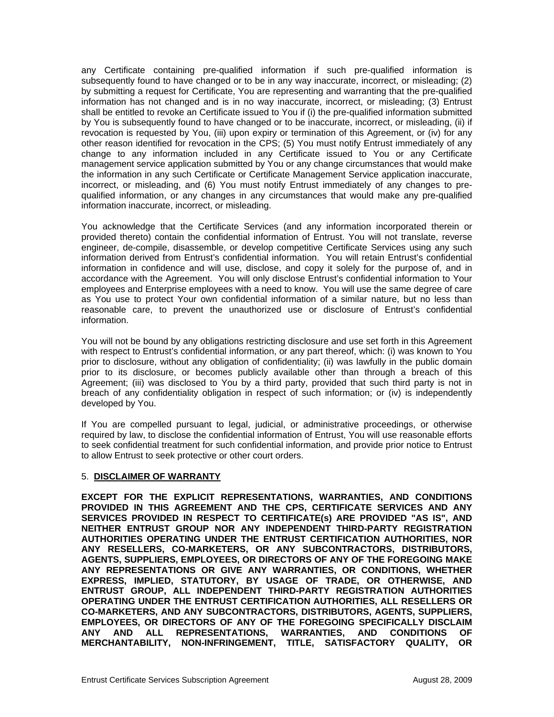any Certificate containing pre-qualified information if such pre-qualified information is subsequently found to have changed or to be in any way inaccurate, incorrect, or misleading; (2) by submitting a request for Certificate, You are representing and warranting that the pre-qualified information has not changed and is in no way inaccurate, incorrect, or misleading; (3) Entrust shall be entitled to revoke an Certificate issued to You if (i) the pre-qualified information submitted by You is subsequently found to have changed or to be inaccurate, incorrect, or misleading, (ii) if revocation is requested by You, (iii) upon expiry or termination of this Agreement, or (iv) for any other reason identified for revocation in the CPS; (5) You must notify Entrust immediately of any change to any information included in any Certificate issued to You or any Certificate management service application submitted by You or any change circumstances that would make the information in any such Certificate or Certificate Management Service application inaccurate, incorrect, or misleading, and (6) You must notify Entrust immediately of any changes to prequalified information, or any changes in any circumstances that would make any pre-qualified information inaccurate, incorrect, or misleading.

You acknowledge that the Certificate Services (and any information incorporated therein or provided thereto) contain the confidential information of Entrust. You will not translate, reverse engineer, de-compile, disassemble, or develop competitive Certificate Services using any such information derived from Entrust's confidential information. You will retain Entrust's confidential information in confidence and will use, disclose, and copy it solely for the purpose of, and in accordance with the Agreement. You will only disclose Entrust's confidential information to Your employees and Enterprise employees with a need to know. You will use the same degree of care as You use to protect Your own confidential information of a similar nature, but no less than reasonable care, to prevent the unauthorized use or disclosure of Entrust's confidential information.

You will not be bound by any obligations restricting disclosure and use set forth in this Agreement with respect to Entrust's confidential information, or any part thereof, which: (i) was known to You prior to disclosure, without any obligation of confidentiality; (ii) was lawfully in the public domain prior to its disclosure, or becomes publicly available other than through a breach of this Agreement; (iii) was disclosed to You by a third party, provided that such third party is not in breach of any confidentiality obligation in respect of such information; or (iv) is independently developed by You.

If You are compelled pursuant to legal, judicial, or administrative proceedings, or otherwise required by law, to disclose the confidential information of Entrust, You will use reasonable efforts to seek confidential treatment for such confidential information, and provide prior notice to Entrust to allow Entrust to seek protective or other court orders.

# 5. **DISCLAIMER OF WARRANTY**

**EXCEPT FOR THE EXPLICIT REPRESENTATIONS, WARRANTIES, AND CONDITIONS PROVIDED IN THIS AGREEMENT AND THE CPS, CERTIFICATE SERVICES AND ANY SERVICES PROVIDED IN RESPECT TO CERTIFICATE(s) ARE PROVIDED "AS IS", AND NEITHER ENTRUST GROUP NOR ANY INDEPENDENT THIRD-PARTY REGISTRATION AUTHORITIES OPERATING UNDER THE ENTRUST CERTIFICATION AUTHORITIES, NOR ANY RESELLERS, CO-MARKETERS, OR ANY SUBCONTRACTORS, DISTRIBUTORS, AGENTS, SUPPLIERS, EMPLOYEES, OR DIRECTORS OF ANY OF THE FOREGOING MAKE ANY REPRESENTATIONS OR GIVE ANY WARRANTIES, OR CONDITIONS, WHETHER EXPRESS, IMPLIED, STATUTORY, BY USAGE OF TRADE, OR OTHERWISE, AND ENTRUST GROUP, ALL INDEPENDENT THIRD-PARTY REGISTRATION AUTHORITIES OPERATING UNDER THE ENTRUST CERTIFICATION AUTHORITIES, ALL RESELLERS OR CO-MARKETERS, AND ANY SUBCONTRACTORS, DISTRIBUTORS, AGENTS, SUPPLIERS, EMPLOYEES, OR DIRECTORS OF ANY OF THE FOREGOING SPECIFICALLY DISCLAIM ANY AND ALL REPRESENTATIONS, WARRANTIES, AND CONDITIONS OF MERCHANTABILITY, NON-INFRINGEMENT, TITLE, SATISFACTORY QUALITY, OR**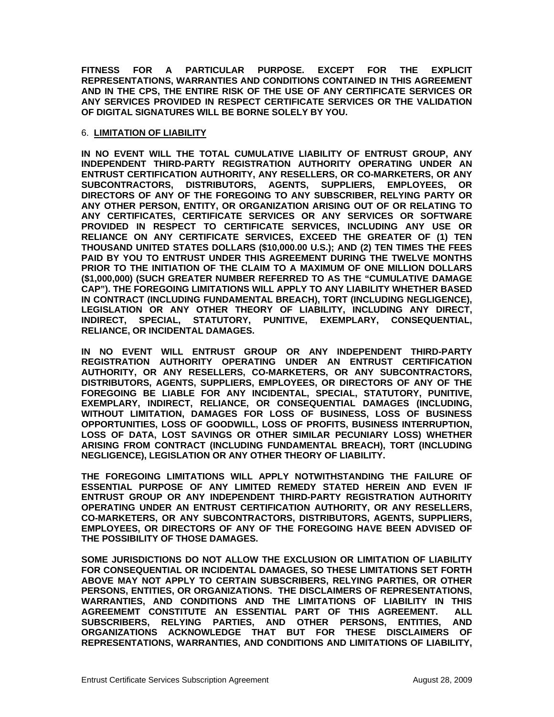**FITNESS FOR A PARTICULAR PURPOSE. EXCEPT FOR THE EXPLICIT REPRESENTATIONS, WARRANTIES AND CONDITIONS CONTAINED IN THIS AGREEMENT AND IN THE CPS, THE ENTIRE RISK OF THE USE OF ANY CERTIFICATE SERVICES OR ANY SERVICES PROVIDED IN RESPECT CERTIFICATE SERVICES OR THE VALIDATION OF DIGITAL SIGNATURES WILL BE BORNE SOLELY BY YOU.**

#### 6. **LIMITATION OF LIABILITY**

**IN NO EVENT WILL THE TOTAL CUMULATIVE LIABILITY OF ENTRUST GROUP, ANY INDEPENDENT THIRD-PARTY REGISTRATION AUTHORITY OPERATING UNDER AN ENTRUST CERTIFICATION AUTHORITY, ANY RESELLERS, OR CO-MARKETERS, OR ANY SUBCONTRACTORS, DISTRIBUTORS, AGENTS, SUPPLIERS, EMPLOYEES, OR DIRECTORS OF ANY OF THE FOREGOING TO ANY SUBSCRIBER, RELYING PARTY OR ANY OTHER PERSON, ENTITY, OR ORGANIZATION ARISING OUT OF OR RELATING TO ANY CERTIFICATES, CERTIFICATE SERVICES OR ANY SERVICES OR SOFTWARE PROVIDED IN RESPECT TO CERTIFICATE SERVICES, INCLUDING ANY USE OR RELIANCE ON ANY CERTIFICATE SERVICES, EXCEED THE GREATER OF (1) TEN THOUSAND UNITED STATES DOLLARS (\$10,000.00 U.S.); AND (2) TEN TIMES THE FEES PAID BY YOU TO ENTRUST UNDER THIS AGREEMENT DURING THE TWELVE MONTHS PRIOR TO THE INITIATION OF THE CLAIM TO A MAXIMUM OF ONE MILLION DOLLARS (\$1,000,000) (SUCH GREATER NUMBER REFERRED TO AS THE "CUMULATIVE DAMAGE CAP"). THE FOREGOING LIMITATIONS WILL APPLY TO ANY LIABILITY WHETHER BASED IN CONTRACT (INCLUDING FUNDAMENTAL BREACH), TORT (INCLUDING NEGLIGENCE), LEGISLATION OR ANY OTHER THEORY OF LIABILITY, INCLUDING ANY DIRECT, INDIRECT, SPECIAL, STATUTORY, PUNITIVE, EXEMPLARY, CONSEQUENTIAL, RELIANCE, OR INCIDENTAL DAMAGES.** 

**IN NO EVENT WILL ENTRUST GROUP OR ANY INDEPENDENT THIRD-PARTY REGISTRATION AUTHORITY OPERATING UNDER AN ENTRUST CERTIFICATION AUTHORITY, OR ANY RESELLERS, CO-MARKETERS, OR ANY SUBCONTRACTORS, DISTRIBUTORS, AGENTS, SUPPLIERS, EMPLOYEES, OR DIRECTORS OF ANY OF THE FOREGOING BE LIABLE FOR ANY INCIDENTAL, SPECIAL, STATUTORY, PUNITIVE, EXEMPLARY, INDIRECT, RELIANCE, OR CONSEQUENTIAL DAMAGES (INCLUDING, WITHOUT LIMITATION, DAMAGES FOR LOSS OF BUSINESS, LOSS OF BUSINESS OPPORTUNITIES, LOSS OF GOODWILL, LOSS OF PROFITS, BUSINESS INTERRUPTION, LOSS OF DATA, LOST SAVINGS OR OTHER SIMILAR PECUNIARY LOSS) WHETHER ARISING FROM CONTRACT (INCLUDING FUNDAMENTAL BREACH), TORT (INCLUDING NEGLIGENCE), LEGISLATION OR ANY OTHER THEORY OF LIABILITY.** 

**THE FOREGOING LIMITATIONS WILL APPLY NOTWITHSTANDING THE FAILURE OF ESSENTIAL PURPOSE OF ANY LIMITED REMEDY STATED HEREIN AND EVEN IF ENTRUST GROUP OR ANY INDEPENDENT THIRD-PARTY REGISTRATION AUTHORITY OPERATING UNDER AN ENTRUST CERTIFICATION AUTHORITY, OR ANY RESELLERS, CO-MARKETERS, OR ANY SUBCONTRACTORS, DISTRIBUTORS, AGENTS, SUPPLIERS, EMPLOYEES, OR DIRECTORS OF ANY OF THE FOREGOING HAVE BEEN ADVISED OF THE POSSIBILITY OF THOSE DAMAGES.** 

**SOME JURISDICTIONS DO NOT ALLOW THE EXCLUSION OR LIMITATION OF LIABILITY FOR CONSEQUENTIAL OR INCIDENTAL DAMAGES, SO THESE LIMITATIONS SET FORTH ABOVE MAY NOT APPLY TO CERTAIN SUBSCRIBERS, RELYING PARTIES, OR OTHER PERSONS, ENTITIES, OR ORGANIZATIONS. THE DISCLAIMERS OF REPRESENTATIONS, WARRANTIES, AND CONDITIONS AND THE LIMITATIONS OF LIABILITY IN THIS AGREEMEMT CONSTITUTE AN ESSENTIAL PART OF THIS AGREEMENT. ALL SUBSCRIBERS, RELYING PARTIES, AND OTHER PERSONS, ENTITIES, AND ORGANIZATIONS ACKNOWLEDGE THAT BUT FOR THESE DISCLAIMERS OF REPRESENTATIONS, WARRANTIES, AND CONDITIONS AND LIMITATIONS OF LIABILITY,**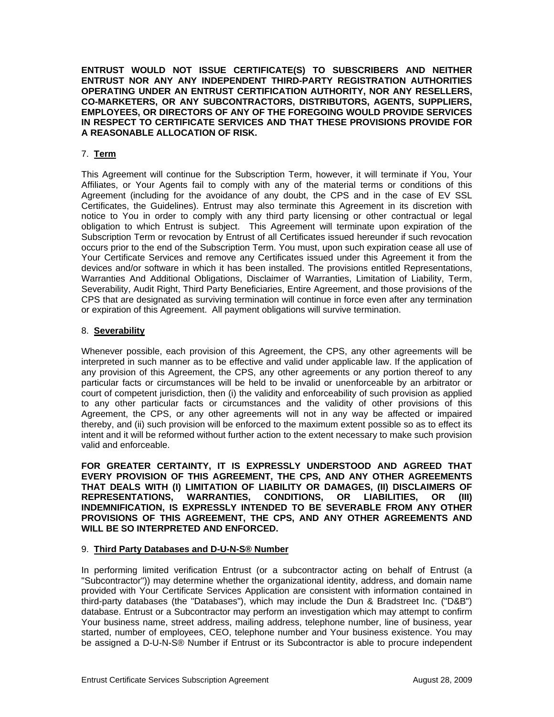**ENTRUST WOULD NOT ISSUE CERTIFICATE(S) TO SUBSCRIBERS AND NEITHER ENTRUST NOR ANY ANY INDEPENDENT THIRD-PARTY REGISTRATION AUTHORITIES OPERATING UNDER AN ENTRUST CERTIFICATION AUTHORITY, NOR ANY RESELLERS, CO-MARKETERS, OR ANY SUBCONTRACTORS, DISTRIBUTORS, AGENTS, SUPPLIERS, EMPLOYEES, OR DIRECTORS OF ANY OF THE FOREGOING WOULD PROVIDE SERVICES IN RESPECT TO CERTIFICATE SERVICES AND THAT THESE PROVISIONS PROVIDE FOR A REASONABLE ALLOCATION OF RISK.** 

## 7. **Term**

This Agreement will continue for the Subscription Term, however, it will terminate if You, Your Affiliates, or Your Agents fail to comply with any of the material terms or conditions of this Agreement (including for the avoidance of any doubt, the CPS and in the case of EV SSL Certificates, the Guidelines). Entrust may also terminate this Agreement in its discretion with notice to You in order to comply with any third party licensing or other contractual or legal obligation to which Entrust is subject. This Agreement will terminate upon expiration of the Subscription Term or revocation by Entrust of all Certificates issued hereunder if such revocation occurs prior to the end of the Subscription Term. You must, upon such expiration cease all use of Your Certificate Services and remove any Certificates issued under this Agreement it from the devices and/or software in which it has been installed. The provisions entitled Representations, Warranties And Additional Obligations, Disclaimer of Warranties, Limitation of Liability, Term, Severability, Audit Right, Third Party Beneficiaries, Entire Agreement, and those provisions of the CPS that are designated as surviving termination will continue in force even after any termination or expiration of this Agreement. All payment obligations will survive termination.

#### 8. **Severability**

Whenever possible, each provision of this Agreement, the CPS, any other agreements will be interpreted in such manner as to be effective and valid under applicable law. If the application of any provision of this Agreement, the CPS, any other agreements or any portion thereof to any particular facts or circumstances will be held to be invalid or unenforceable by an arbitrator or court of competent jurisdiction, then (i) the validity and enforceability of such provision as applied to any other particular facts or circumstances and the validity of other provisions of this Agreement, the CPS, or any other agreements will not in any way be affected or impaired thereby, and (ii) such provision will be enforced to the maximum extent possible so as to effect its intent and it will be reformed without further action to the extent necessary to make such provision valid and enforceable.

**FOR GREATER CERTAINTY, IT IS EXPRESSLY UNDERSTOOD AND AGREED THAT EVERY PROVISION OF THIS AGREEMENT, THE CPS, AND ANY OTHER AGREEMENTS THAT DEALS WITH (I) LIMITATION OF LIABILITY OR DAMAGES, (II) DISCLAIMERS OF REPRESENTATIONS, WARRANTIES, CONDITIONS, OR LIABILITIES, OR (III) INDEMNIFICATION, IS EXPRESSLY INTENDED TO BE SEVERABLE FROM ANY OTHER PROVISIONS OF THIS AGREEMENT, THE CPS, AND ANY OTHER AGREEMENTS AND WILL BE SO INTERPRETED AND ENFORCED.** 

#### 9. **Third Party Databases and D-U-N-S® Number**

In performing limited verification Entrust (or a subcontractor acting on behalf of Entrust (a "Subcontractor")) may determine whether the organizational identity, address, and domain name provided with Your Certificate Services Application are consistent with information contained in third-party databases (the "Databases"), which may include the Dun & Bradstreet Inc. ("D&B") database. Entrust or a Subcontractor may perform an investigation which may attempt to confirm Your business name, street address, mailing address, telephone number, line of business, year started, number of employees, CEO, telephone number and Your business existence. You may be assigned a D-U-N-S® Number if Entrust or its Subcontractor is able to procure independent